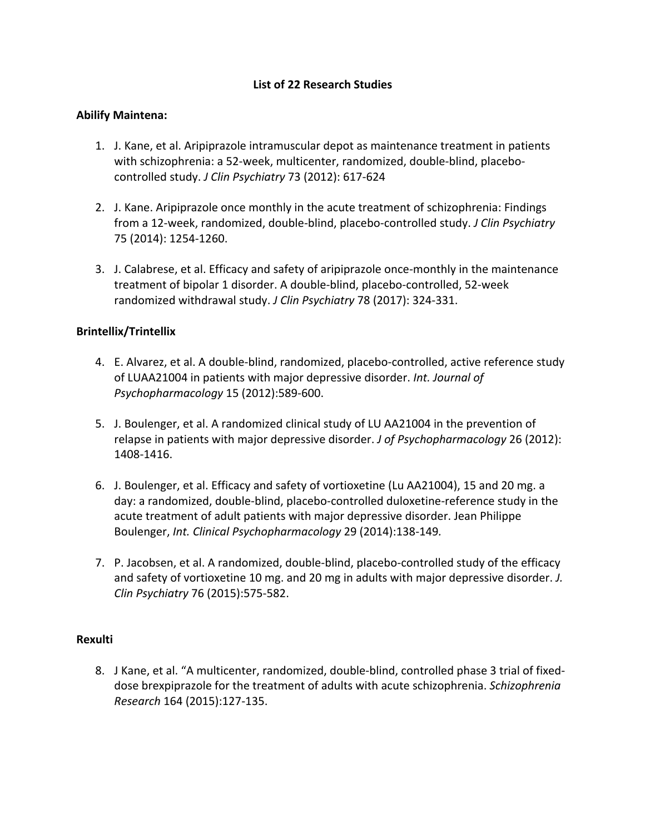# **List of 22 Research Studies**

# **Abilify Maintena:**

- 1. J. Kane, et al. Aripiprazole intramuscular depot as maintenance treatment in patients with schizophrenia: a 52-week, multicenter, randomized, double-blind, placebocontrolled study. *J Clin Psychiatry* 73 (2012): 617-624
- 2. J. Kane. Aripiprazole once monthly in the acute treatment of schizophrenia: Findings from a 12-week, randomized, double-blind, placebo-controlled study. *J Clin Psychiatry* 75 (2014): 1254-1260.
- 3. J. Calabrese, et al. Efficacy and safety of aripiprazole once-monthly in the maintenance treatment of bipolar 1 disorder. A double-blind, placebo-controlled, 52-week randomized withdrawal study. *J Clin Psychiatry* 78 (2017): 324-331.

### **Brintellix/Trintellix**

- 4. E. Alvarez, et al. A double-blind, randomized, placebo-controlled, active reference study of LUAA21004 in patients with major depressive disorder. *Int. Journal of Psychopharmacology* 15 (2012):589-600.
- 5. J. Boulenger, et al. A randomized clinical study of LU AA21004 in the prevention of relapse in patients with major depressive disorder. *J of Psychopharmacology* 26 (2012): 1408-1416.
- 6. J. Boulenger, et al. Efficacy and safety of vortioxetine (Lu AA21004), 15 and 20 mg. a day: a randomized, double-blind, placebo-controlled duloxetine-reference study in the acute treatment of adult patients with major depressive disorder. Jean Philippe Boulenger, *Int. Clinical Psychopharmacology* 29 (2014):138-149*.*
- 7. P. Jacobsen, et al. A randomized, double-blind, placebo-controlled study of the efficacy and safety of vortioxetine 10 mg. and 20 mg in adults with major depressive disorder. *J. Clin Psychiatry* 76 (2015):575-582.

### **Rexulti**

8. J Kane, et al. "A multicenter, randomized, double-blind, controlled phase 3 trial of fixeddose brexpiprazole for the treatment of adults with acute schizophrenia. *Schizophrenia Research* 164 (2015):127-135.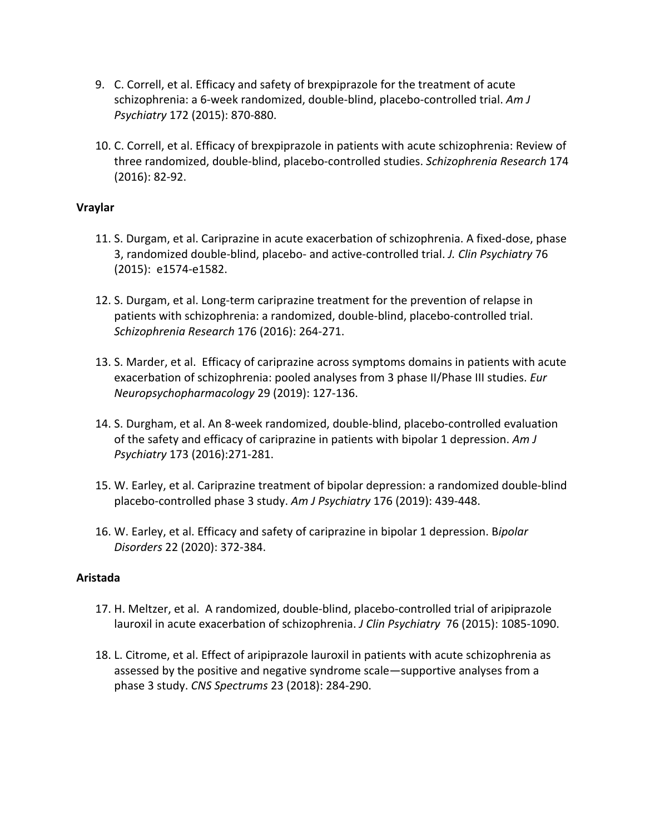- 9. C. Correll, et al. Efficacy and safety of brexpiprazole for the treatment of acute schizophrenia: a 6-week randomized, double-blind, placebo-controlled trial. *Am J Psychiatry* 172 (2015): 870-880.
- 10. C. Correll, et al. Efficacy of brexpiprazole in patients with acute schizophrenia: Review of three randomized, double-blind, placebo-controlled studies. *Schizophrenia Research* 174 (2016): 82-92.

# **Vraylar**

- 11. S. Durgam, et al. Cariprazine in acute exacerbation of schizophrenia. A fixed-dose, phase 3, randomized double-blind, placebo- and active-controlled trial. *J. Clin Psychiatry* 76 (2015): e1574-e1582.
- 12. S. Durgam, et al. Long-term cariprazine treatment for the prevention of relapse in patients with schizophrenia: a randomized, double-blind, placebo-controlled trial. *Schizophrenia Research* 176 (2016): 264-271.
- 13. S. Marder, et al. Efficacy of cariprazine across symptoms domains in patients with acute exacerbation of schizophrenia: pooled analyses from 3 phase II/Phase III studies. *Eur Neuropsychopharmacology* 29 (2019): 127-136.
- 14. S. Durgham, et al. An 8-week randomized, double-blind, placebo-controlled evaluation of the safety and efficacy of cariprazine in patients with bipolar 1 depression. *Am J Psychiatry* 173 (2016):271-281.
- 15. W. Earley, et al. Cariprazine treatment of bipolar depression: a randomized double-blind placebo-controlled phase 3 study. *Am J Psychiatry* 176 (2019): 439-448.
- 16. W. Earley, et al. Efficacy and safety of cariprazine in bipolar 1 depression. B*ipolar Disorders* 22 (2020): 372-384.

# **Aristada**

- 17. H. Meltzer, et al. A randomized, double-blind, placebo-controlled trial of aripiprazole lauroxil in acute exacerbation of schizophrenia. *J Clin Psychiatry* 76 (2015): 1085-1090.
- 18. L. Citrome, et al. Effect of aripiprazole lauroxil in patients with acute schizophrenia as assessed by the positive and negative syndrome scale—supportive analyses from a phase 3 study. *CNS Spectrums* 23 (2018): 284-290.